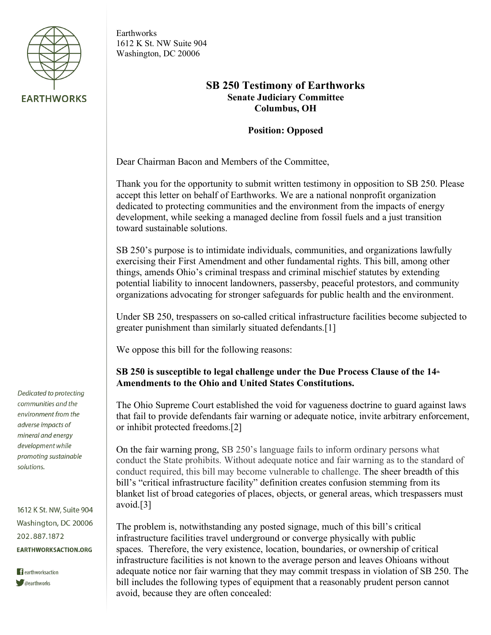

Earthworks 1612 K St. NW Suite 904 Washington, DC 20006

# **SB 250 Testimony of Earthworks Senate Judiciary Committee Columbus, OH**

### **Position: Opposed**

Dear Chairman Bacon and Members of the Committee,

Thank you for the opportunity to submit written testimony in opposition to SB 250. Please accept this letter on behalf of Earthworks. We are a national nonprofit organization dedicated to protecting communities and the environment from the impacts of energy development, while seeking a managed decline from fossil fuels and a just transition toward sustainable solutions.

SB 250's purpose is to intimidate individuals, communities, and organizations lawfully exercising their First Amendment and other fundamental rights. This bill, among other things, amends Ohio's criminal trespass and criminal mischief statutes by extending potential liability to innocent landowners, passersby, peaceful protestors, and community organizations advocating for stronger safeguards for public health and the environment.

Under SB 250, trespassers on so-called critical infrastructure facilities become subjected to greater punishment than similarly situated defendants.[1]

We oppose this bill for the following reasons:

## **SB 250 is susceptible to legal challenge under the Due Process Clause of the 14<sup>th</sup> Amendments to the Ohio and United States Constitutions.**

The Ohio Supreme Court established the void for vagueness doctrine to guard against laws that fail to provide defendants fair warning or adequate notice, invite arbitrary enforcement, or inhibit protected freedoms.[2]

On the fair warning prong, SB 250's language fails to inform ordinary persons what conduct the State prohibits. Without adequate notice and fair warning as to the standard of conduct required, this bill may become vulnerable to challenge. The sheer breadth of this bill's "critical infrastructure facility" definition creates confusion stemming from its blanket list of broad categories of places, objects, or general areas, which trespassers must avoid.[3]

The problem is, notwithstanding any posted signage, much of this bill's critical infrastructure facilities travel underground or converge physically with public spaces. Therefore, the very existence, location, boundaries, or ownership of critical infrastructure facilities is not known to the average person and leaves Ohioans without adequate notice nor fair warning that they may commit trespass in violation of SB 250. The bill includes the following types of equipment that a reasonably prudent person cannot avoid, because they are often concealed:

Dedicated to protecting communities and the environment from the adverse impacts of mineral and energy development while promoting sustainable solutions.

1612 K St. NW, Suite 904 Washington, DC 20006 202.887.1872 **EARTHWORKSACTION.ORG**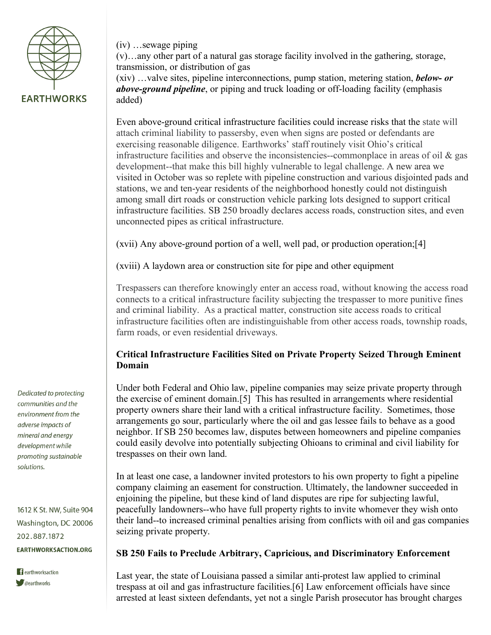

(iv) …sewage piping

(v)…any other part of a natural gas storage facility involved in the gathering, storage, transmission, or distribution of gas

(xiv) …valve sites, pipeline interconnections, pump station, metering station, *below- or above-ground pipeline*, or piping and truck loading or off-loading facility (emphasis added)

Even above-ground critical infrastructure facilities could increase risks that the state will attach criminal liability to passersby, even when signs are posted or defendants are exercising reasonable diligence. Earthworks' staff routinely visit Ohio's critical infrastructure facilities and observe the inconsistencies--commonplace in areas of oil & gas development--that make this bill highly vulnerable to legal challenge. A new area we visited in October was so replete with pipeline construction and various disjointed pads and stations, we and ten-year residents of the neighborhood honestly could not distinguish among small dirt roads or construction vehicle parking lots designed to support critical infrastructure facilities. SB 250 broadly declares access roads, construction sites, and even unconnected pipes as critical infrastructure.

(xvii) Any above-ground portion of a well, well pad, or production operation;[4]

(xviii) A laydown area or construction site for pipe and other equipment

Trespassers can therefore knowingly enter an access road, without knowing the access road connects to a critical infrastructure facility subjecting the trespasser to more punitive fines and criminal liability. As a practical matter, construction site access roads to critical infrastructure facilities often are indistinguishable from other access roads, township roads, farm roads, or even residential driveways.

# **Critical Infrastructure Facilities Sited on Private Property Seized Through Eminent Domain**

Under both Federal and Ohio law, pipeline companies may seize private property through the exercise of eminent domain.[5] This has resulted in arrangements where residential property owners share their land with a critical infrastructure facility. Sometimes, those arrangements go sour, particularly where the oil and gas lessee fails to behave as a good neighbor. If SB 250 becomes law, disputes between homeowners and pipeline companies could easily devolve into potentially subjecting Ohioans to criminal and civil liability for trespasses on their own land.

In at least one case, a landowner invited protestors to his own property to fight a pipeline company claiming an easement for construction. Ultimately, the landowner succeeded in enjoining the pipeline, but these kind of land disputes are ripe for subjecting lawful, peacefully landowners--who have full property rights to invite whomever they wish onto their land--to increased criminal penalties arising from conflicts with oil and gas companies seizing private property.

### **SB 250 Fails to Preclude Arbitrary, Capricious, and Discriminatory Enforcement**

Last year, the state of Louisiana passed a similar anti-protest law applied to criminal trespass at oil and gas infrastructure facilities.[6] Law enforcement officials have since arrested at least sixteen defendants, yet not a single Parish prosecutor has brought charges

Dedicated to protecting communities and the environment from the adverse impacts of mineral and energy development while promoting sustainable solutions.

1612 K St. NW, Suite 904 Washington, DC 20006 202.887.1872 **EARTHWORKSACTION.ORG**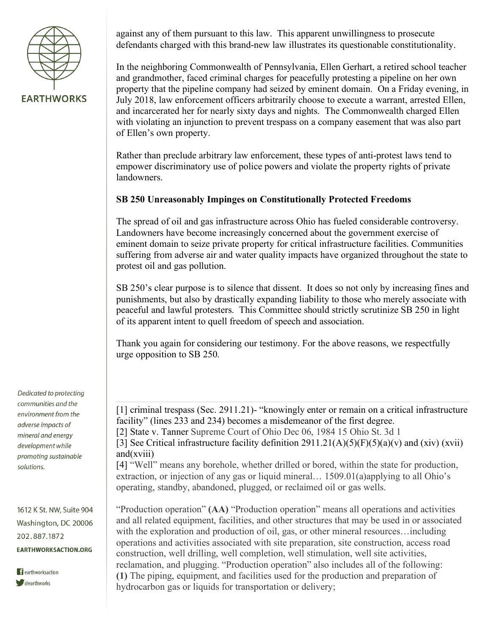

against any of them pursuant to this law. This apparent unwillingness to prosecute defendants charged with this brand-new law illustrates its questionable constitutionality.

In the neighboring Commonwealth of Pennsylvania, Ellen Gerhart, a retired school teacher and grandmother, faced criminal charges for peacefully protesting a pipeline on her own property that the pipeline company had seized by eminent domain. On a Friday evening, in July 2018, law enforcement officers arbitrarily choose to execute a warrant, arrested Ellen, and incarcerated her for nearly sixty days and nights. The Commonwealth charged Ellen with violating an injunction to prevent trespass on a company easement that was also part of Ellen's own property.

Rather than preclude arbitrary law enforcement, these types of anti-protest laws tend to empower discriminatory use of police powers and violate the property rights of private landowners.

## **SB 250 Unreasonably Impinges on Constitutionally Protected Freedoms**

The spread of oil and gas infrastructure across Ohio has fueled considerable controversy. Landowners have become increasingly concerned about the government exercise of eminent domain to seize private property for critical infrastructure facilities. Communities suffering from adverse air and water quality impacts have organized throughout the state to protest oil and gas pollution.

SB 250's clear purpose is to silence that dissent. It does so not only by increasing fines and punishments, but also by drastically expanding liability to those who merely associate with peaceful and lawful protesters. This Committee should strictly scrutinize SB 250 in light of its apparent intent to quell freedom of speech and association.

Thank you again for considering our testimony. For the above reasons, we respectfully urge opposition to SB 250.

[1] criminal trespass (Sec. 2911.21)- "knowingly enter or remain on a critical infrastructure facility" (lines 233 and 234) becomes a misdemeanor of the first degree. [2] State v. Tanner Supreme Court of Ohio Dec 06, 1984 15 Ohio St. 3d 1 [3] See Critical infrastructure facility definition  $2911.21(A)(5)(F)(5)(a)(v)$  and  $(xiv)$  (xvii) and(xviii)

[4] "Well" means any borehole, whether drilled or bored, within the state for production, extraction, or injection of any gas or liquid mineral… 1509.01(a)applying to all Ohio's operating, standby, abandoned, plugged, or reclaimed oil or gas wells.

"Production operation" **(AA)** "Production operation" means all operations and activities and all related equipment, facilities, and other structures that may be used in or associated with the exploration and production of oil, gas, or other mineral resources...including operations and activities associated with site preparation, site construction, access road construction, well drilling, well completion, well stimulation, well site activities, reclamation, and plugging. "Production operation" also includes all of the following: **(1)** The piping, equipment, and facilities used for the production and preparation of hydrocarbon gas or liquids for transportation or delivery;

Dedicated to protecting communities and the environment from the adverse impacts of mineral and energy development while promoting sustainable solutions.

1612 K St. NW, Suite 904 Washington, DC 20006 202.887.1872 **EARTHWORKSACTION.ORG**